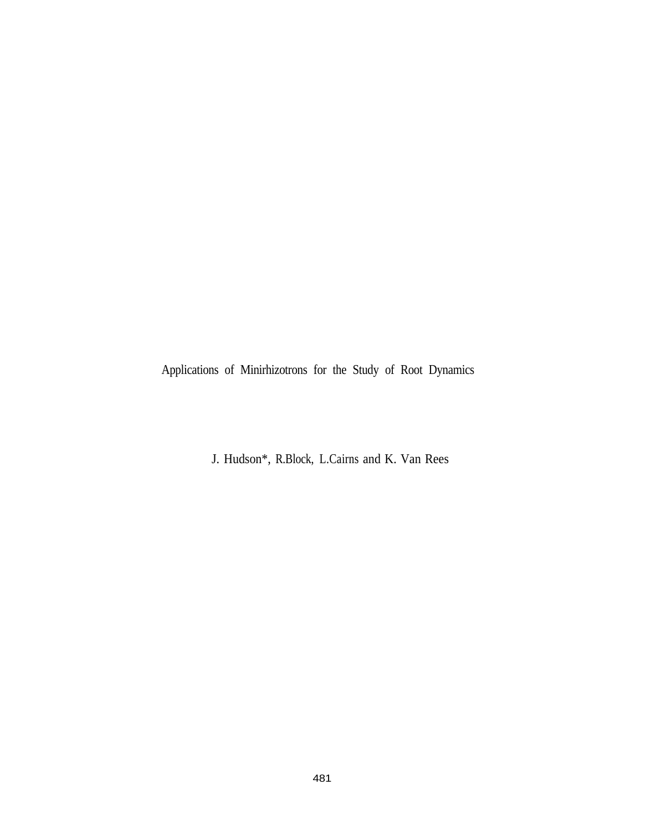Applications of Minirhizotrons for the Study of Root Dynamics

J. Hudson\*, R.Block, L.Cairns and K. Van Rees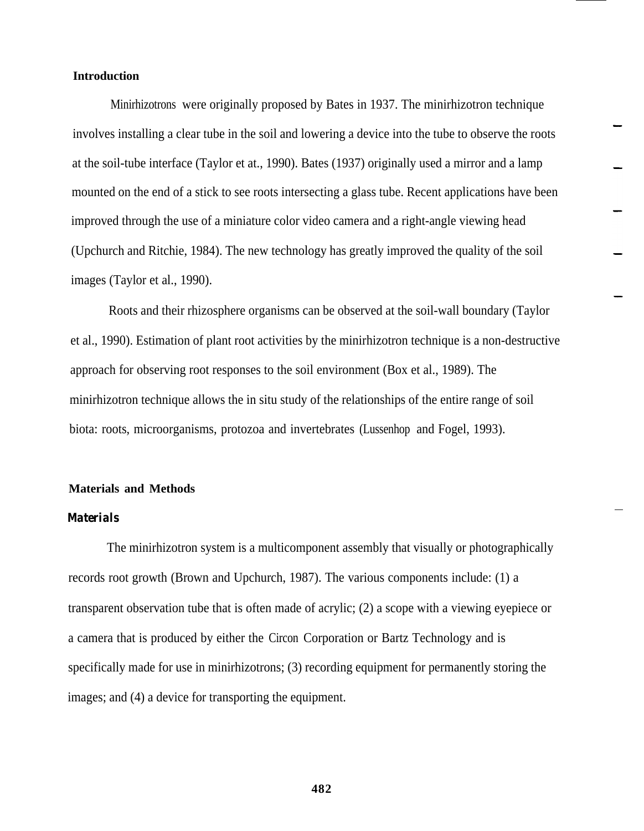# **Introduction**

Minirhizotrons were originally proposed by Bates in 1937. The minirhizotron technique involves installing a clear tube in the soil and lowering a device into the tube to observe the roots at the soil-tube interface (Taylor et at., 1990). Bates (1937) originally used a mirror and a lamp mounted on the end of a stick to see roots intersecting a glass tube. Recent applications have been improved through the use of a miniature color video camera and a right-angle viewing head (Upchurch and Ritchie, 1984). The new technology has greatly improved the quality of the soil images (Taylor et al., 1990).

Roots and their rhizosphere organisms can be observed at the soil-wall boundary (Taylor et al., 1990). Estimation of plant root activities by the minirhizotron technique is a non-destructive approach for observing root responses to the soil environment (Box et al., 1989). The minirhizotron technique allows the in situ study of the relationships of the entire range of soil biota: roots, microorganisms, protozoa and invertebrates (Lussenhop and Fogel, 1993).

#### **Materials and Methods**

## *Materials*

The minirhizotron system is a multicomponent assembly that visually or photographically records root growth (Brown and Upchurch, 1987). The various components include: (1) a transparent observation tube that is often made of acrylic; (2) a scope with a viewing eyepiece or a camera that is produced by either the Circon Corporation or Bartz Technology and is specifically made for use in minirhizotrons; (3) recording equipment for permanently storing the images; and (4) a device for transporting the equipment.

**482**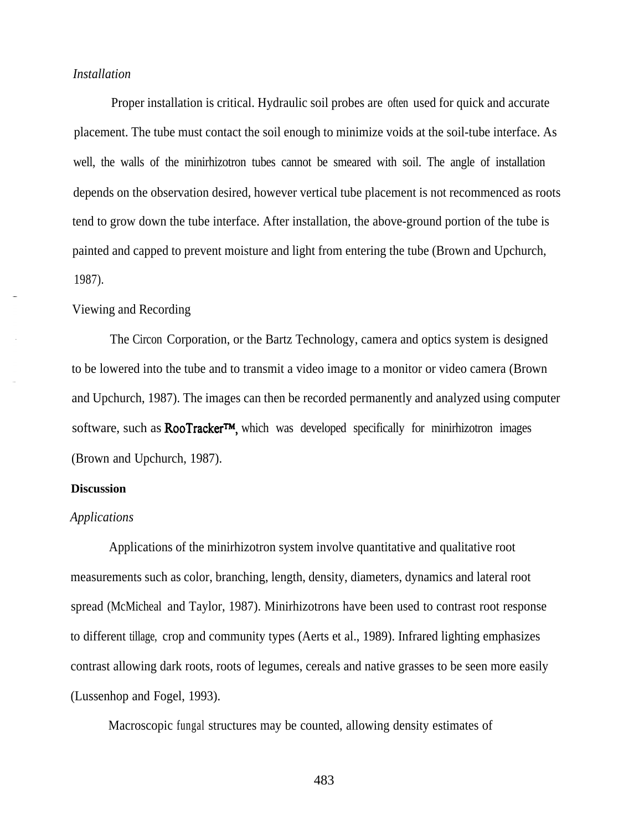# *Installation*

Proper installation is critical. Hydraulic soil probes are often used for quick and accurate placement. The tube must contact the soil enough to minimize voids at the soil-tube interface. As well, the walls of the minirhizotron tubes cannot be smeared with soil. The angle of installation depends on the observation desired, however vertical tube placement is not recommenced as roots tend to grow down the tube interface. After installation, the above-ground portion of the tube is painted and capped to prevent moisture and light from entering the tube (Brown and Upchurch, 1987).

## Viewing and Recording

The Circon Corporation, or the Bartz Technology, camera and optics system is designed to be lowered into the tube and to transmit a video image to a monitor or video camera (Brown and Upchurch, 1987). The images can then be recorded permanently and analyzed using computer software, such as **RooTracker<sup>TM</sup>**, which was developed specifically for minirhizotron images (Brown and Upchurch, 1987).

## **Discussion**

#### *Applications*

Applications of the minirhizotron system involve quantitative and qualitative root measurements such as color, branching, length, density, diameters, dynamics and lateral root spread (McMicheal and Taylor, 1987). Minirhizotrons have been used to contrast root response to different tillage, crop and community types (Aerts et al., 1989). Infrared lighting emphasizes contrast allowing dark roots, roots of legumes, cereals and native grasses to be seen more easily (Lussenhop and Fogel, 1993).

Macroscopic fungal structures may be counted, allowing density estimates of

483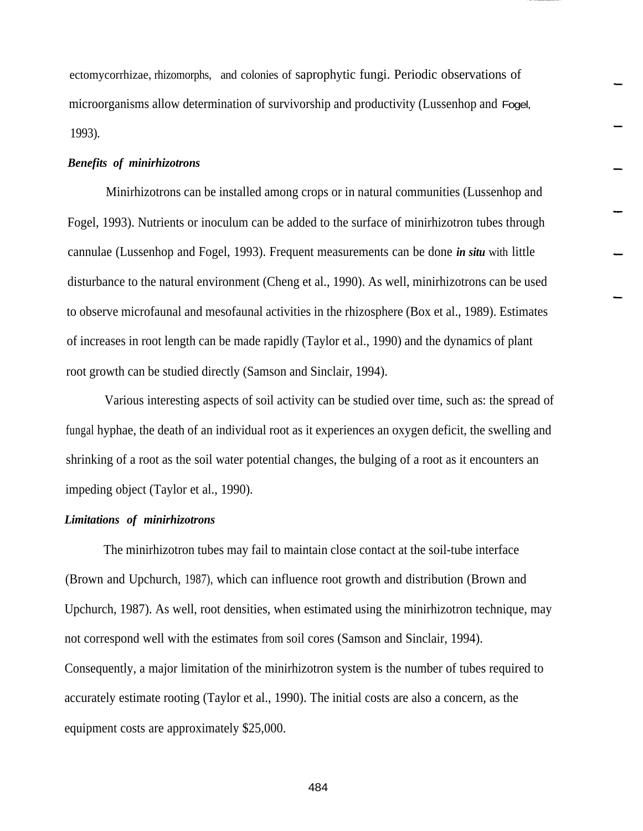ectomycorrhizae, rhizomorphs, and colonies of saprophytic fungi. Periodic observations of microorganisms allow determination of survivorship and productivity (Lussenhop and Fogel, 1993).

## *Benefits of minirhizotrons*

Minirhizotrons can be installed among crops or in natural communities (Lussenhop and Fogel, 1993). Nutrients or inoculum can be added to the surface of minirhizotron tubes through cannulae (Lussenhop and Fogel, 1993). Frequent measurements can be done *in situ* with little disturbance to the natural environment (Cheng et al., 1990). As well, minirhizotrons can be used to observe microfaunal and mesofaunal activities in the rhizosphere (Box et al., 1989). Estimates of increases in root length can be made rapidly (Taylor et al., 1990) and the dynamics of plant root growth can be studied directly (Samson and Sinclair, 1994).

Various interesting aspects of soil activity can be studied over time, such as: the spread of fungal hyphae, the death of an individual root as it experiences an oxygen deficit, the swelling and shrinking of a root as the soil water potential changes, the bulging of a root as it encounters an impeding object (Taylor et al., 1990).

## *Limitations of minirhizotrons*

The minirhizotron tubes may fail to maintain close contact at the soil-tube interface (Brown and Upchurch, 1987), which can influence root growth and distribution (Brown and Upchurch, 1987). As well, root densities, when estimated using the minirhizotron technique, may not correspond well with the estimates from soil cores (Samson and Sinclair, 1994). Consequently, a major limitation of the minirhizotron system is the number of tubes required to accurately estimate rooting (Taylor et al., 1990). The initial costs are also a concern, as the equipment costs are approximately \$25,000.

484